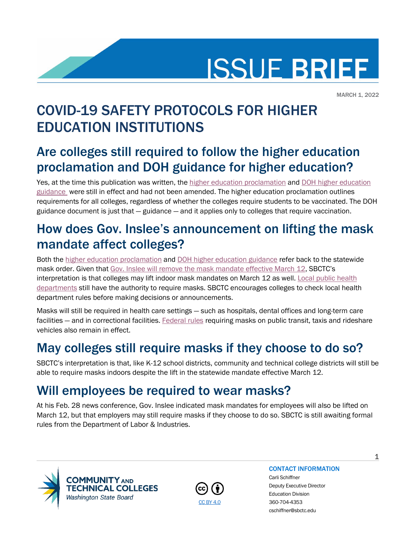

MARCH 1, 2022

# COVID-19 SAFETY PROTOCOLS FOR HIGHER EDUCATION INSTITUTIONS

## Are colleges still required to follow the higher education proclamation and DOH guidance for higher education?

Yes, at the time this publication was written, the [higher education proclamation](https://www.governor.wa.gov/sites/default/files/proclamations/proc_20-12.5.pdf?utm_medium=email&utm_source=govdelivery) and DOH higher education [guidance](https://doh.wa.gov/sites/default/files/2022-02/HigherEducation.pdf) were still in effect and had not been amended. The higher education proclamation outlines requirements for all colleges, regardless of whether the colleges require students to be vaccinated. The DOH guidance document is just that — guidance — and it applies only to colleges that require vaccination.

## How does Gov. Inslee's announcement on lifting the mask mandate affect colleges?

Both the [higher education proclamation](https://www.governor.wa.gov/sites/default/files/proclamations/proc_20-12.5.pdf?utm_medium=email&utm_source=govdelivery) and [DOH higher education guidance](https://doh.wa.gov/sites/default/files/2022-02/HigherEducation.pdf) refer back to the statewide mask order. Given tha[t Gov. Inslee will remove the mask mandate effective March 12,](https://www.governor.wa.gov/news-media/governors-newsom-brown-and-inslee-announce-updated-health-guidance#:%7E:text=In%20Washington%2C%20indoor%20mask%20requirements,and%20long%2Dterm%20care%20facilities.) SBCTC's interpretation is that colleges may lift indoor mask mandates on March 12 as well. [Local public health](https://doh.wa.gov/about-us/washingtons-public-health-system/washington-state-local-health-jurisdictions)  [departments](https://doh.wa.gov/about-us/washingtons-public-health-system/washington-state-local-health-jurisdictions) still have the authority to require masks. SBCTC encourages colleges to check local health department rules before making decisions or announcements.

Masks will still be required in health care settings — such as hospitals, dental offices and long-term care facilities — and in correctional facilities. [Federal rules](https://www.cdc.gov/coronavirus/2019-ncov/travelers/face-masks-public-transportation.html) requiring masks on public transit, taxis and rideshare vehicles also remain in effect.

## May colleges still require masks if they choose to do so?

SBCTC's interpretation is that, like K-12 school districts, community and technical college districts will still be able to require masks indoors despite the lift in the statewide mandate effective March 12.

### Will employees be required to wear masks?

At his Feb. 28 news conference, Gov. Inslee indicated mask mandates for employees will also be lifted on March 12, but that employers may still require masks if they choose to do so. SBCTC is still awaiting formal rules from the Department of Labor & Industries.





#### CONTACT INFORMATION

Carli Schiffner Deputy Executive Director Education Division [CC BY 4.0](https://creativecommons.org/licenses/by/4.0/) 360-704-4353 cschiffner@sbctc.edu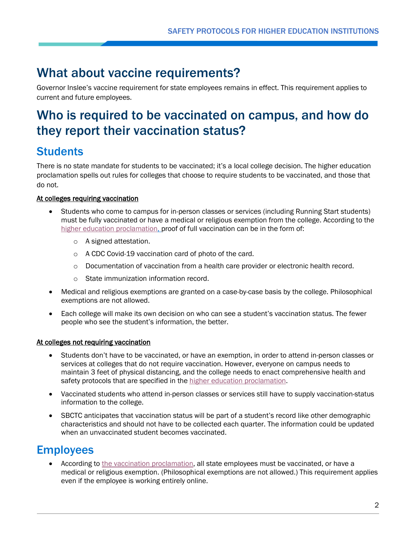### What about vaccine requirements?

Governor Inslee's vaccine requirement for state employees remains in effect. This requirement applies to current and future employees.

### Who is required to be vaccinated on campus, and how do they report their vaccination status?

### **Students**

There is no state mandate for students to be vaccinated; it's a local college decision. The higher education proclamation spells out rules for colleges that choose to require students to be vaccinated, and those that do not.

#### At colleges requiring vaccination

- Students who come to campus for in-person classes or services (including Running Start students) must be fully vaccinated or have a medical or religious exemption from the college. According to the [higher education](https://www.governor.wa.gov/sites/default/files/proclamations/proc_20-12.5.pdf?utm_medium=email&utm_source=govdelivery#page=5) proclamation, proof of full vaccination can be in the form of:
	- o A signed attestation.
	- o A CDC Covid-19 vaccination card of photo of the card.
	- $\circ$  Documentation of vaccination from a health care provider or electronic health record.
	- o State immunization information record.
- Medical and religious exemptions are granted on a case-by-case basis by the college. Philosophical exemptions are not allowed.
- Each college will make its own decision on who can see a student's vaccination status. The fewer people who see the student's information, the better.

#### At colleges not requiring vaccination

- Students don't have to be vaccinated, or have an exemption, in order to attend in-person classes or services at colleges that do not require vaccination. However, everyone on campus needs to maintain 3 feet of physical distancing, and the college needs to enact comprehensive health and safety protocols that are specified in the [higher education proclamation.](https://www.governor.wa.gov/sites/default/files/proclamations/proc_20-12.5.pdf?utm_medium=email&utm_source=govdelivery#page=5)
- Vaccinated students who attend in-person classes or services still have to supply vaccination-status information to the college.
- SBCTC anticipates that vaccination status will be part of a student's record like other demographic characteristics and should not have to be collected each quarter. The information could be updated when an unvaccinated student becomes vaccinated.

### **Employees**

• According to the [vaccination proclamation,](https://www.governor.wa.gov/sites/default/files/proclamations/21-14.1%20-%20COVID-19%20Vax%20Washington%20Amendment.pdf?utm_medium=email&utm_source=govdelivery) all state employees must be vaccinated, or have a medical or religious exemption. (Philosophical exemptions are not allowed.) This requirement applies even if the employee is working entirely online.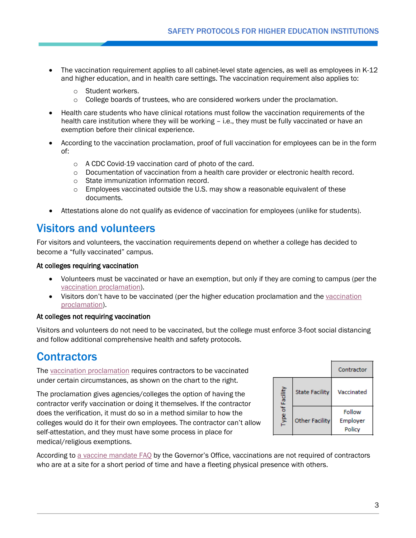- The vaccination requirement applies to all cabinet-level state agencies, as well as employees in K-12 and higher education, and in health care settings. The vaccination requirement also applies to:
	- o Student workers.
	- $\circ$  College boards of trustees, who are considered workers under the proclamation.
- Health care students who have clinical rotations must follow the vaccination requirements of the health care institution where they will be working – i.e., they must be fully vaccinated or have an exemption before their clinical experience.
- According to the vaccination proclamation, proof of full vaccination for employees can be in the form of:
	- o A CDC Covid-19 vaccination card of photo of the card.
	- $\circ$  Documentation of vaccination from a health care provider or electronic health record.
	- o State immunization information record.
	- $\circ$  Employees vaccinated outside the U.S. may show a reasonable equivalent of these documents.
- Attestations alone do not qualify as evidence of vaccination for employees (unlike for students).

### Visitors and volunteers

For visitors and volunteers, the vaccination requirements depend on whether a college has decided to become a "fully vaccinated" campus.

#### At colleges requiring vaccination

- Volunteers must be vaccinated or have an exemption, but only if they are coming to campus (per the [vaccination proclamation\)](https://www.governor.wa.gov/sites/default/files/proclamations/21-14.1%20-%20COVID-19%20Vax%20Washington%20Amendment.pdf?utm_medium=email&utm_source=govdelivery#page=8).
- Visitors don't have to be vaccinated (per the higher education proclamation and the vaccination [proclamation\)](https://www.governor.wa.gov/sites/default/files/proclamations/21-14.1%20-%20COVID-19%20Vax%20Washington%20Amendment.pdf?utm_medium=email&utm_source=govdelivery#page=8).

#### At colleges not requiring vaccination

Visitors and volunteers do not need to be vaccinated, but the college must enforce 3-foot social distancing and follow additional comprehensive health and safety protocols.

### **Contractors**

The [vaccination proclamation](https://www.governor.wa.gov/sites/default/files/proclamations/21-14.1%20-%20COVID-19%20Vax%20Washington%20Amendment.pdf?utm_medium=email&utm_source=govdelivery#page=7) requires contractors to be vaccinated under certain circumstances, as shown on the chart to the right.

The proclamation gives agencies/colleges the option of having the contractor verify vaccination or doing it themselves. If the contractor does the verification, it must do so in a method similar to how the colleges would do it for their own employees. The contractor can't allow self-attestation, and they must have some process in place for medical/religious exemptions.

|                  |                       | Contractor                   |
|------------------|-----------------------|------------------------------|
| of Facility<br>ğ | <b>State Facility</b> | Vaccinated                   |
|                  | <b>Other Facility</b> | Follow<br>Employer<br>Policy |

According to [a vaccine mandate FAQ](https://www.governor.wa.gov/VaccineMandateFAQ#Contractors) by the Governor's Office, vaccinations are not required of contractors who are at a site for a short period of time and have a fleeting physical presence with others.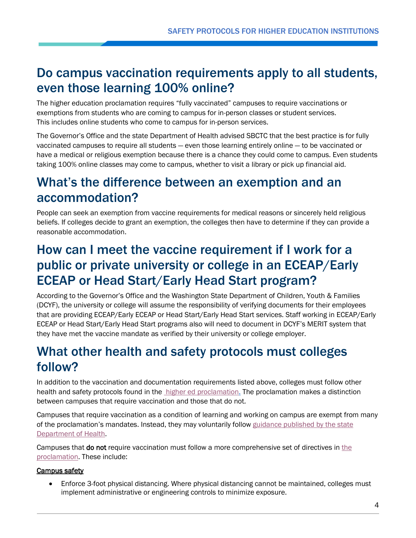### Do campus vaccination requirements apply to all students, even those learning 100% online?

The higher education proclamation requires "fully vaccinated" campuses to require vaccinations or exemptions from students who are coming to campus for in-person classes or student services. This includes online students who come to campus for in-person services.

The Governor's Office and the state Department of Health advised SBCTC that the best practice is for fully vaccinated campuses to require all students — even those learning entirely online — to be vaccinated or have a medical or religious exemption because there is a chance they could come to campus. Even students taking 100% online classes may come to campus, whether to visit a library or pick up financial aid.

### What's the difference between an exemption and an accommodation?

People can seek an exemption from vaccine requirements for medical reasons or sincerely held religious beliefs. If colleges decide to grant an exemption, the colleges then have to determine if they can provide a reasonable accommodation.

### How can I meet the vaccine requirement if I work for a public or private university or college in an ECEAP/Early ECEAP or Head Start/Early Head Start program?

According to the Governor's Office and the Washington State Department of Children, Youth & Families (DCYF), the university or college will assume the responsibility of verifying documents for their employees that are providing ECEAP/Early ECEAP or Head Start/Early Head Start services. Staff working in ECEAP/Early ECEAP or Head Start/Early Head Start programs also will need to document in DCYF's MERIT system that they have met the vaccine mandate as verified by their university or college employer.

## What other health and safety protocols must colleges follow?

In addition to the vaccination and documentation requirements listed above, colleges must follow other health and safety protocols found in the [higher ed proclamation.](https://www.governor.wa.gov/sites/default/files/proclamations/proc_20-12.5.pdf?utm_medium=email&utm_source=govdelivery) The proclamation makes a distinction between campuses that require vaccination and those that do not.

Campuses that require vaccination as a condition of learning and working on campus are exempt from many of the proclamation's mandates. Instead, they may voluntarily follow [guidance published by the state](https://www.doh.wa.gov/Portals/1/Documents/1600/coronavirus/HigherEducation.pdf)  [Department of Health.](https://www.doh.wa.gov/Portals/1/Documents/1600/coronavirus/HigherEducation.pdf)

Campuses that do not require vaccination must follow a more comprehensive set of directives in the [proclamation.](https://www.governor.wa.gov/sites/default/files/proclamations/proc_20-12.5.pdf?utm_medium=email&utm_source=govdelivery#page=5) These include:

#### Campus safety

• Enforce 3-foot physical distancing. Where physical distancing cannot be maintained, colleges must implement administrative or engineering controls to minimize exposure.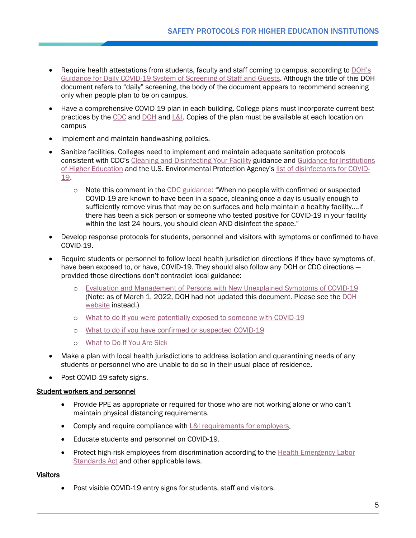- Require health attestations from students, faculty and staff coming to campus, according to [DOH's](https://www.doh.wa.gov/Portals/1/Documents/1600/coronavirus/Employervisitorscreeningguidance.pdf)  [Guidance for Daily COVID-19 System of Screening of Staff and Guests.](https://www.doh.wa.gov/Portals/1/Documents/1600/coronavirus/Employervisitorscreeningguidance.pdf) Although the title of this DOH document refers to "daily" screening, the body of the document appears to recommend screening only when people plan to be on campus.
- Have a comprehensive COVID-19 plan in each building. College plans must incorporate current best practices by the [CDC](https://www.cdc.gov/coronavirus/2019-ncov/community/colleges-universities/index.html) and [DOH](https://www.doh.wa.gov/Emergencies/COVID19/ResourcesandRecommendations#schools) and  $L&l$ . Copies of the plan must be available at each location on campus
- Implement and maintain handwashing policies.
- Sanitize facilities. Colleges need to implement and maintain adequate sanitation protocols consistent with CDC's [Cleaning and Disinfecting Your Facility](https://www.cdc.gov/coronavirus/2019-ncov/community/disinfecting-building-facility.html) guidance and [Guidance for Institutions](https://www.cdc.gov/coronavirus/2019-ncov/community/colleges-universities/considerations.html#section4)  [of Higher Education](https://www.cdc.gov/coronavirus/2019-ncov/community/colleges-universities/considerations.html#section4) and the U.S. Environmental Protection Agency'[s list of disinfectants for COVID-](https://www.epa.gov/coronavirus/about-list-n-disinfectants-coronavirus-covid-19-0)[19.](https://www.epa.gov/coronavirus/about-list-n-disinfectants-coronavirus-covid-19-0)
	- $\circ$  Note this comment in the [CDC guidance:](https://www.cdc.gov/coronavirus/2019-ncov/community/disinfecting-building-facility.html) "When no people with confirmed or suspected COVID-19 are known to have been in a space, cleaning once a day is usually enough to sufficiently remove virus that may be on surfaces and help maintain a healthy facility.[…If](https://www.cdc.gov/coronavirus/2019-ncov/community/disinfecting-building-facility.html#anchor_1617551661760)  [there has been a sick person or someone who tested positive for COVID-19](https://www.cdc.gov/coronavirus/2019-ncov/community/disinfecting-building-facility.html#anchor_1617551661760) in your facility within the last 24 hours, you should clean AND disinfect the space."
- Develop response protocols for students, personnel and visitors with symptoms or confirmed to have COVID-19.
- Require students or personnel to follow local health jurisdiction directions if they have symptoms of, have been exposed to, or have, COVID-19. They should also follow any DOH or CDC directions – provided those directions don't contradict local guidance:
	- o [Evaluation and Management of Persons with New Unexplained Symptoms of COVID-19](https://www.doh.wa.gov/Portals/1/Documents/1600/coronavirus/420-287-COVID-19SymptomEvalMgmtFlowChart.pdf) (Note: as of March 1, 2022, DOH had not updated this document. Please see the [DOH](https://doh.wa.gov/emergencies/covid-19/isolation-and-quarantine-covid-19)  [website](https://doh.wa.gov/emergencies/covid-19/isolation-and-quarantine-covid-19) instead.)
	- o What to do [if you were potentially exposed to someone with COVID-19](https://www.doh.wa.gov/Portals/1/Documents/1600/coronavirus/COVIDexposed.pdf)
	- o [What to do if you have confirmed or suspected COVID-19](https://www.doh.wa.gov/Portals/1/Documents/1600/coronavirus/COVIDcasepositive.pdf)
	- o [What to Do If You Are Sick](https://www.cdc.gov/coronavirus/2019-ncov/if-you-are-sick/steps-when-sick.html)
- Make a plan with local health jurisdictions to address isolation and quarantining needs of any students or personnel who are unable to do so in their usual place of residence.
- Post COVID-19 safety signs.

#### Student workers and personnel

- Provide PPE as appropriate or required for those who are not working alone or who can't maintain physical distancing requirements.
- Comply and require compliance with [L&I requirements for employers.](https://lni.wa.gov/forms-publications/F414-164-000.pdf)
- Educate students and personnel on COVID-19.
- Protect high-risk employees from discrimination according to the [Health Emergency Labor](https://lni.wa.gov/forms-publications/F417-291-000.pdf)  [Standards Act](https://lni.wa.gov/forms-publications/F417-291-000.pdf) and other applicable laws.

#### **Visitors**

• Post visible COVID-19 entry signs for students, staff and visitors.